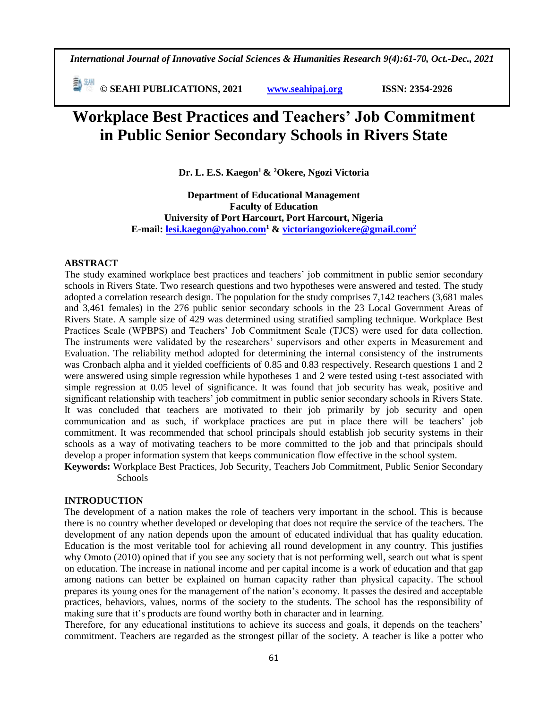*International Journal of Innovative Social Sciences & Humanities Research 9(4):61-70, Oct.-Dec., 2021*

 **© SEAHI PUBLICATIONS, 2021 [www.seahipaj.org](http://www.seahipaj.org/) ISSN: 2354-2926** 

# **Workplace Best Practices and Teachers' Job Commitment in Public Senior Secondary Schools in Rivers State**

**Dr. L. E.S. Kaegon<sup>1</sup> & <sup>2</sup>Okere, Ngozi Victoria** 

**Department of Educational Management Faculty of Education University of Port Harcourt, Port Harcourt, Nigeria E-mail: [lesi.kaegon@yahoo.com](mailto:lesi.kaegon@yahoo.com2)<sup>1</sup> & [victoriangoziokere@gmail.com](mailto:victoriangoziokere@gmail.com2)<sup>2</sup>**

### **ABSTRACT**

The study examined workplace best practices and teachers' job commitment in public senior secondary schools in Rivers State. Two research questions and two hypotheses were answered and tested. The study adopted a correlation research design. The population for the study comprises 7,142 teachers (3,681 males and 3,461 females) in the 276 public senior secondary schools in the 23 Local Government Areas of Rivers State. A sample size of 429 was determined using stratified sampling technique. Workplace Best Practices Scale (WPBPS) and Teachers' Job Commitment Scale (TJCS) were used for data collection. The instruments were validated by the researchers' supervisors and other experts in Measurement and Evaluation. The reliability method adopted for determining the internal consistency of the instruments was Cronbach alpha and it yielded coefficients of 0.85 and 0.83 respectively. Research questions 1 and 2 were answered using simple regression while hypotheses 1 and 2 were tested using t-test associated with simple regression at 0.05 level of significance. It was found that job security has weak, positive and significant relationship with teachers' job commitment in public senior secondary schools in Rivers State. It was concluded that teachers are motivated to their job primarily by job security and open communication and as such, if workplace practices are put in place there will be teachers' job commitment. It was recommended that school principals should establish job security systems in their schools as a way of motivating teachers to be more committed to the job and that principals should develop a proper information system that keeps communication flow effective in the school system.

**Keywords:** Workplace Best Practices, Job Security, Teachers Job Commitment, Public Senior Secondary Schools

### **INTRODUCTION**

The development of a nation makes the role of teachers very important in the school. This is because there is no country whether developed or developing that does not require the service of the teachers. The development of any nation depends upon the amount of educated individual that has quality education. Education is the most veritable tool for achieving all round development in any country. This justifies why Omoto (2010) opined that if you see any society that is not performing well, search out what is spent on education. The increase in national income and per capital income is a work of education and that gap among nations can better be explained on human capacity rather than physical capacity. The school prepares its young ones for the management of the nation's economy. It passes the desired and acceptable practices, behaviors, values, norms of the society to the students. The school has the responsibility of making sure that it's products are found worthy both in character and in learning.

Therefore, for any educational institutions to achieve its success and goals, it depends on the teachers' commitment. Teachers are regarded as the strongest pillar of the society. A teacher is like a potter who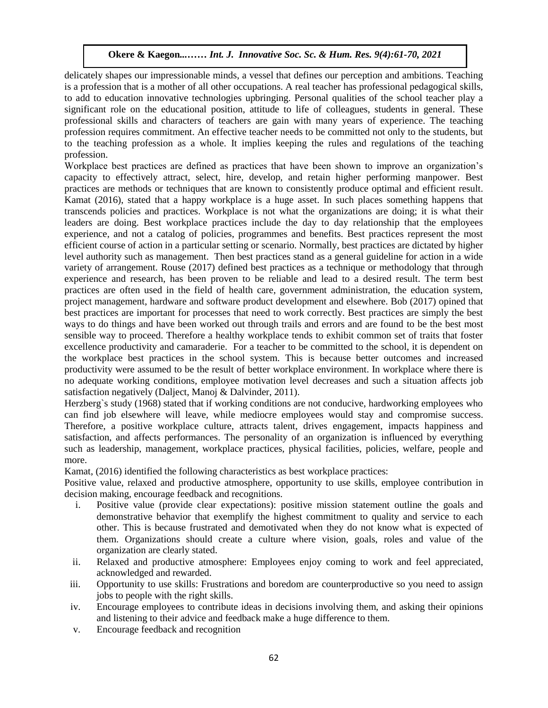**Okere & Kaegon***...…… Int. J. Innovative Soc. Sc. & Hum. Res. 9(4):61-70, 2021*

delicately shapes our impressionable minds, a vessel that defines our perception and ambitions. Teaching is a profession that is a mother of all other occupations. A real teacher has professional pedagogical skills, to add to education innovative technologies upbringing. Personal qualities of the school teacher play a significant role on the educational position, attitude to life of colleagues, students in general. These professional skills and characters of teachers are gain with many years of experience. The teaching profession requires commitment. An effective teacher needs to be committed not only to the students, but to the teaching profession as a whole. It implies keeping the rules and regulations of the teaching profession.

Workplace best practices are defined as practices that have been shown to improve an organization's capacity to effectively attract, select, hire, develop, and retain higher performing manpower. Best practices are methods or techniques that are known to consistently produce optimal and efficient result. Kamat (2016), stated that a happy workplace is a huge asset. In such places something happens that transcends policies and practices. Workplace is not what the organizations are doing; it is what their leaders are doing. Best workplace practices include the day to day relationship that the employees experience, and not a catalog of policies, programmes and benefits. Best practices represent the most efficient course of action in a particular setting or scenario. Normally, best practices are dictated by higher level authority such as management. Then best practices stand as a general guideline for action in a wide variety of arrangement. Rouse (2017) defined best practices as a technique or methodology that through experience and research, has been proven to be reliable and lead to a desired result. The term best practices are often used in the field of health care, government administration, the education system, project management, hardware and software product development and elsewhere. Bob (2017) opined that best practices are important for processes that need to work correctly. Best practices are simply the best ways to do things and have been worked out through trails and errors and are found to be the best most sensible way to proceed. Therefore a healthy workplace tends to exhibit common set of traits that foster excellence productivity and camaraderie. For a teacher to be committed to the school, it is dependent on the workplace best practices in the school system. This is because better outcomes and increased productivity were assumed to be the result of better workplace environment. In workplace where there is no adequate working conditions, employee motivation level decreases and such a situation affects job satisfaction negatively (Dalject, Manoj & Dalvinder, 2011).

Herzberg's study (1968) stated that if working conditions are not conducive, hardworking employees who can find job elsewhere will leave, while mediocre employees would stay and compromise success. Therefore, a positive workplace culture, attracts talent, drives engagement, impacts happiness and satisfaction, and affects performances. The personality of an organization is influenced by everything such as leadership, management, workplace practices, physical facilities, policies, welfare, people and more.

Kamat, (2016) identified the following characteristics as best workplace practices:

Positive value, relaxed and productive atmosphere, opportunity to use skills, employee contribution in decision making, encourage feedback and recognitions.

- i. Positive value (provide clear expectations): positive mission statement outline the goals and demonstrative behavior that exemplify the highest commitment to quality and service to each other. This is because frustrated and demotivated when they do not know what is expected of them. Organizations should create a culture where vision, goals, roles and value of the organization are clearly stated.
- ii. Relaxed and productive atmosphere: Employees enjoy coming to work and feel appreciated, acknowledged and rewarded.
- iii. Opportunity to use skills: Frustrations and boredom are counterproductive so you need to assign jobs to people with the right skills.
- iv. Encourage employees to contribute ideas in decisions involving them, and asking their opinions and listening to their advice and feedback make a huge difference to them.
- v. Encourage feedback and recognition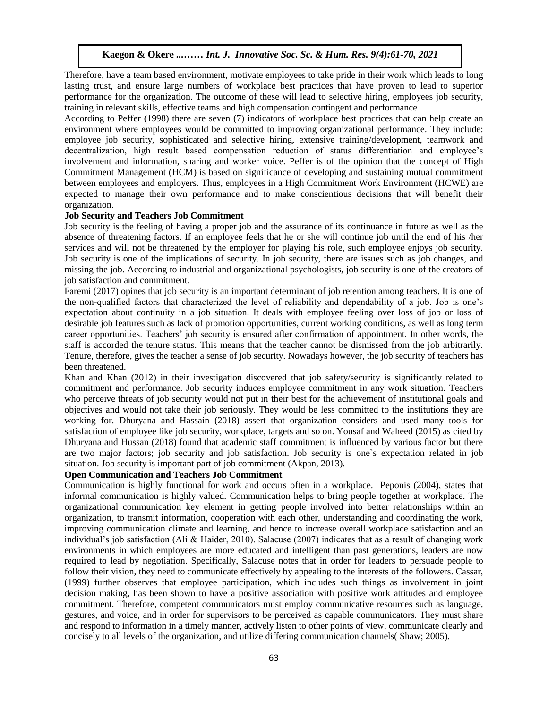Therefore, have a team based environment, motivate employees to take pride in their work which leads to long lasting trust, and ensure large numbers of workplace best practices that have proven to lead to superior performance for the organization. The outcome of these will lead to selective hiring, employees job security, training in relevant skills, effective teams and high compensation contingent and performance

According to Peffer (1998) there are seven (7) indicators of workplace best practices that can help create an environment where employees would be committed to improving organizational performance. They include: employee job security, sophisticated and selective hiring, extensive training/development, teamwork and employee job seemily, sophisticated and selective infing, extensive training/development, teamwork and decentralization, high result based compensation reduction of status differentiation and employee's involvement and information, sharing and worker voice. Peffer is of the opinion that the concept of High Commitment Management (HCM) is based on significance of developing and sustaining mutual commitment between employees and employers. Thus, employees in a High Commitment Work Environment (HCWE) are expected to manage their own performance and to make conscientious decisions that will benefit their organization.

### **Job Security and Teachers Job Commitment**

Job security is the feeling of having a proper job and the assurance of its continuance in future as well as the absence of threatening factors. If an employee feels that he or she will continue job until the end of his /her services and will not be threatened by the employer for playing his role, such employee enjoys job security. Job security is one of the implications of security. In job security, there are issues such as job changes, and missing the job. According to industrial and organizational psychologists, job security is one of the creators of job satisfaction and commitment.

Faremi (2017) opines that job security is an important determinant of job retention among teachers. It is one of the non-qualified factors that characterized the level of reliability and dependability of a job. Job is one's expectation about continuity in a job situation. It deals with employee feeling over loss of job or loss of desirable job features such as lack of promotion opportunities, current working conditions, as well as long term desirable job leatures such as fack of promotion opportunities, current working conditions, as well as long term<br>career opportunities. Teachers' job security is ensured after confirmation of appointment. In other words, th staff is accorded the tenure status. This means that the teacher cannot be dismissed from the job arbitrarily. Tenure, therefore, gives the teacher a sense of job security. Nowadays however, the job security of teachers has been threatened.

econ anculomed.<br>Khan and Khan (2012) in their investigation discovered that job safety/security is significantly related to commitment and performance. Job security induces employee commitment in any work situation. Teachers who perceive threats of job security would not put in their best for the achievement of institutional goals and objectives and would not take their job seriously. They would be less committed to the institutions they are working for. Dhuryana and Hassain (2018) assert that organization considers and used many tools for satisfaction of employee like job security, workplace, targets and so on. Yousaf and Waheed (2015) as cited by Dhuryana and Hussan (2018) found that academic staff commitment is influenced by various factor but there are two major factors; job security and job satisfaction. Job security is one`s expectation related in job situation. Job security is important part of job commitment (Akpan, 2013).

## **Open Communication and Teachers Job Commitment**

Communication is highly functional for work and occurs often in a workplace. Peponis (2004), states that informal communication is highly valued. Communication helps to bring people together at workplace. The organizational communication key element in getting people involved into better relationships within an organization, to transmit information, cooperation with each other, understanding and coordinating the work, improving communication climate and learning, and hence to increase overall workplace satisfaction and an individual's job satisfaction (Ali & Haider, 2010). Salacuse (2007) indicates that as a result of changing work environments in which employees are more educated and intelligent than past generations, leaders are now required to lead by negotiation. Specifically, Salacuse notes that in order for leaders to persuade people to follow their vision, they need to communicate effectively by appealing to the interests of the followers. Cassar, (1999) further observes that employee participation, which includes such things as involvement in joint decision making, has been shown to have a positive association with positive work attitudes and employee commitment. Therefore, competent communicators must employ communicative resources such as language, gestures, and voice, and in order for supervisors to be perceived as capable communicators. They must share and respond to information in a timely manner, actively listen to other points of view, communicate clearly and concisely to all levels of the organization, and utilize differing communication channels( Shaw; 2005).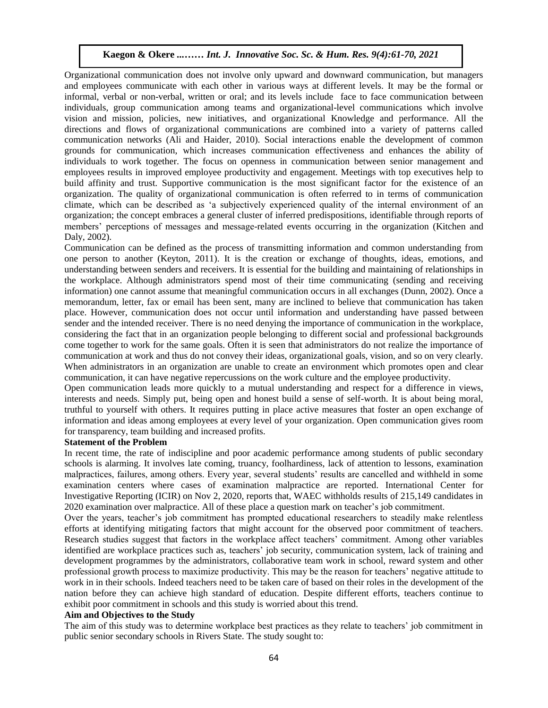Organizational communication does not involve only upward and downward communication, but managers and employees communicate with each other in various ways at different levels. It may be the formal or informal, verbal or non-verbal, written or oral; and its levels include face to face communication between individuals, group communication among teams and organizational-level communications which involve vision and mission, policies, new initiatives, and organizational Knowledge and performance. All the directions and flows of organizational communications are combined into a variety of patterns called communication networks (Ali and Haider, 2010). Social interactions enable the development of common grounds for communication, which increases communication effectiveness and enhances the ability of grounds for communication, which increases communication effectiveness and enhances the ability of individuals to work together. The focus on openness in communication between senior management and employees results in improved employee productivity and engagement. Meetings with top executives help to build affinity and trust. Supportive communication is the most significant factor for the existence of an organization. The quality of organizational communication is often referred to in terms of communication climate, which can be described as 'a subjectively experienced quality of the internal environment of an organization; the concept embraces a general cluster of inferred predispositions, identifiable through reports of members' perceptions of messages and message-related events occurring in the organization (Kitchen and Daly, 2002).  $2002$ ).

Communication can be defined as the process of transmitting information and common understanding from one person to another (Keyton, 2011). It is the creation or exchange of thoughts, ideas, emotions, and understanding between senders and receivers. It is essential for the building and maintaining of relationships in the workplace. Although administrators spend most of their time communicating (sending and receiving information) one cannot assume that meaningful communication occurs in all exchanges (Dunn, 2002). Once a memorandum, letter, fax or email has been sent, many are inclined to believe that communication has taken place. However, communication does not occur until information and understanding have passed between sender and the intended receiver. There is no need denying the importance of communication in the workplace, sender and the intended receiver. There is no need denying the importance of communication in the workplace, considering the fact that in an organization people belonging to different social and professional backgrounds come together to work for the same goals. Often it is seen that administrators do not realize the importance of communication at work and thus do not convey their ideas, organizational goals, vision, and so on very clearly. When administrators in an organization are unable to create an environment which promotes open and clear when deministedness in an organization are undere to create an environment which promotes open a<br>communication, it can have negative repercussions on the work culture and the employee productivity.

Open communication leads more quickly to a mutual understanding and respect for a difference in views, interests and needs. Simply put, being open and honest build a sense of self-worth. It is about being moral, truthful to yourself with others. It requires putting in place active measures that foster an open exchange of information and ideas among employees at every level of your organization. Open communication gives room for transparency, team building and increased profits.

### **Statement of the Problem**

In recent time, the rate of indiscipline and poor academic performance among students of public secondary schools is alarming. It involves late coming, truancy, foolhardiness, lack of attention to lessons, examination malpractices, failures, among others. Every year, several students' results are cancelled and withheld in some examination centers where cases of examination malpractice are reported. International Center for Investigative Reporting (ICIR) on Nov 2, 2020, reports that, WAEC withholds results of 215,149 candidates in 2020 examination over malpractice. All of these place a question mark on teacher's job commitment.

Over the years, teacher's job commitment has prompted educational researchers to steadily make relentless efforts at identifying mitigating factors that might account for the observed poor commitment of teachers. Research studies suggest that factors in the workplace affect teachers' commitment. Among other variables identified are workplace practices such as, teachers' job security, communication system, lack of training and development programmes by the administrators, collaborative team work in school, reward system and other professional growth process to maximize productivity. This may be the reason for teachers' negative attitude to work in in their schools. Indeed teachers need to be taken care of based on their roles in the development of the nation before they can achieve high standard of education. Despite different efforts, teachers continue to exhibit poor commitment in schools and this study is worried about this trend.

#### **Aim and Objectives to the Study**

The aim of this study was to determine workplace best practices as they relate to teachers' job commitment in public senior secondary schools in Rivers State. The study sought to: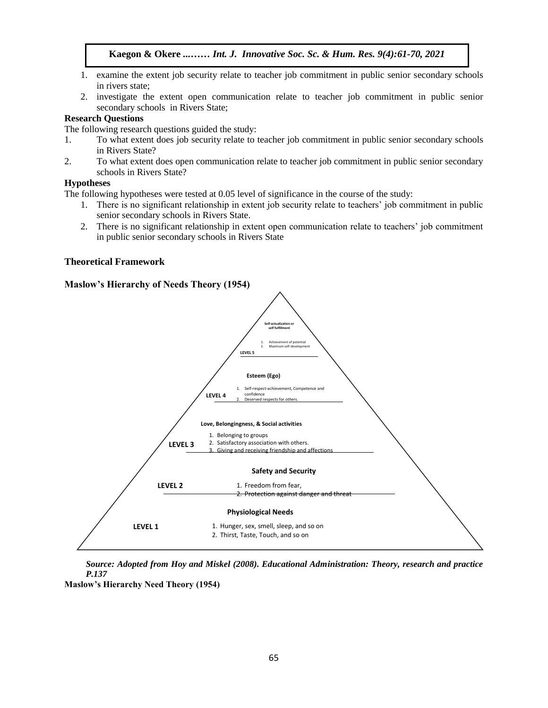- 1. examine the extent job security relate to teacher job commitment in public senior secondary schools in rivers state;
- 2. investigate the extent open communication relate to teacher job commitment in public senior secondary schools in Rivers State;

## **Research Questions**

The following research questions guided the study:

- 1. To what extent does job security relate to teacher job commitment in public senior secondary schools in Dignary State 3. in Rivers State?
- 2. To what extent does open communication relate to teacher job commitment in public senior secondary schools in Rivers State?

### **Hypotheses**

In the following hypotheses were tested at 0.05 level of significance in the course of the study:

- 1. There is no significant relationship in extent job security relate to teachers' job commitment in public senior secondary schools in Rivers State.
- 2. There is no significant relationship in extent open communication relate to teachers' job commitment in public senior secondary schools in Rivers State

### **Theoretical Framework**

# **Maslow's Hierarchy of Needs Theory (1954)**



*Source: Adopted from Hoy and Miskel (2008). Educational Administration: Theory, research and practice P.137* 

**Maslow's Hierarchy Need Theory (1954)**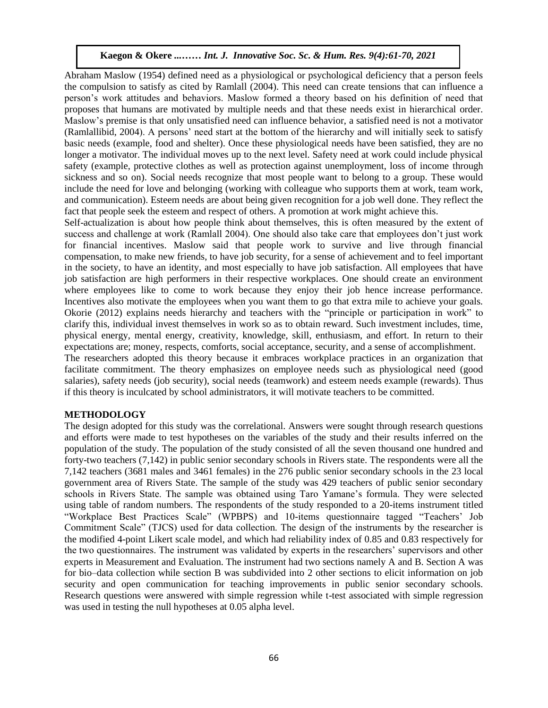Abraham Maslow (1954) defined need as a physiological or psychological deficiency that a person feels the compulsion to satisfy as cited by Ramlall (2004). This need can create tensions that can influence a person's work attitudes and behaviors. Maslow formed a theory based on his definition of need that proposes that humans are motivated by multiple needs and that these needs exist in hierarchical order. Maslow's premise is that only unsatisfied need can influence behavior, a satisfied need is not a motivator (Ramlallibid, 2004). A persons' need start at the bottom of the hierarchy and will initially seek to satisfy basic needs (example, food and shelter). Once these physiological needs have been satisfied, they are no longer a motivator. The individual moves up to the next level. Safety need at work could include physical safety (example, protective clothes as well as protection against unemployment, loss of income through sickness and so on). Social needs recognize that most people want to belong to a group. These would include the need for love and belonging (working with colleague who supports them at work, team work, and communication). Esteem needs are about being given recognition for a job well done. They reflect the fact that people seek the esteem and respect of others. A promotion at work might achieve this.

Self-actualization is about how people think about themselves, this is often measured by the extent of success and challenge at work (Ramlall 2004). One should also take care that employees don't just work for financial incentives. Maslow said that people work to survive and live through financial compensation, to make new friends, to have job security, for a sense of achievement and to feel important in the society, to have an identity, and most especially to have job satisfaction. All employees that have job satisfaction are high performers in their respective workplaces. One should create an environment where employees like to come to work because they enjoy their job hence increase performance. Incentives also motivate the employees when you want them to go that extra mile to achieve your goals. Okorie (2012) explains needs hierarchy and teachers with the "principle or participation in work" to clarify this, individual invest themselves in work so as to obtain reward. Such investment includes, time, physical energy, mental energy, creativity, knowledge, skill, enthusiasm, and effort. In return to their expectations are; money, respects, comforts, social acceptance, security, and a sense of accomplishment. The researchers adopted this theory because it embraces workplace practices in an organization that facilitate commitment. The theory emphasizes on employee needs such as physiological need (good

# salaries), safety needs (job security), social needs (teamwork) and esteem needs example (rewards). Thus if this theory is inculcated by school administrators, it will motivate teachers to be committed.

# **METHODOLOGY**

The design adopted for this study was the correlational. Answers were sought through research questions and efforts were made to test hypotheses on the variables of the study and their results inferred on the population of the study. The population of the study consisted of all the seven thousand one hundred and forty-two teachers (7,142) in public senior secondary schools in Rivers state. The respondents were all the 7,142 teachers (3681 males and 3461 females) in the 276 public senior secondary schools in the 23 local government area of Rivers State. The sample of the study was 429 teachers of public senior secondary schools in Rivers State. The sample was obtained using Taro Yamane's formula. They were selected using table of random numbers. The respondents of the study responded to a 20-items instrument titled "Workplace Best Practices Scale" (WPBPS) and 10-items questionnaire tagged "Teachers' Job Commitment Scale" (TJCS) used for data collection. The design of the instruments by the researcher is the modified 4-point Likert scale model, and which had reliability index of 0.85 and 0.83 respectively for the two questionnaires. The instrument was validated by experts in the researchers' supervisors and other experts in Measurement and Evaluation. The instrument had two sections namely A and B. Section A was for bio–data collection while section B was subdivided into 2 other sections to elicit information on job security and open communication for teaching improvements in public senior secondary schools. Research questions were answered with simple regression while t-test associated with simple regression was used in testing the null hypotheses at 0.05 alpha level.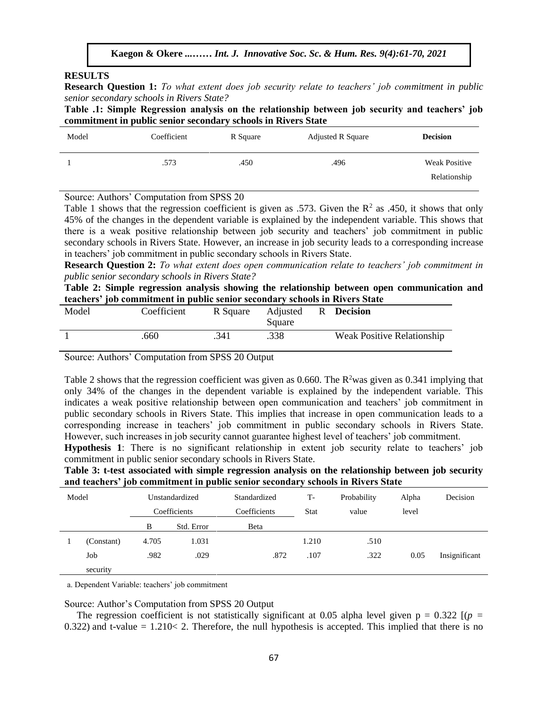### **RESULTS**

**Research Question 1:** *To what extent does job security relate to teachers' job commitment in public senior secondary schools in Rivers State?* 

**Table .1: Simple Regression analysis on the relationship between job security and teachers' job commitment in public senior secondary schools in Rivers State**

| Model                   | Coefficient                    | R Square                    | Adjusted R Square | <b>Decision</b>      |
|-------------------------|--------------------------------|-----------------------------|-------------------|----------------------|
|                         | .573                           | .450                        | .496              | <b>Weak Positive</b> |
|                         |                                |                             |                   | Relationship         |
| $\sim$ $\sim$<br>$\sim$ | $\sim$ $\sim$ $\sim$<br>$\sim$ | $\sim$ $\sim$ $\sim$ $\sim$ |                   |                      |

Source: Authors' Computation from SPSS 20

Table 1 shows that the regression coefficient is given as .573. Given the  $\mathbb{R}^2$  as .450, it shows that only 45% of the changes in the dependent variable is explained by the independent variable. This shows that there is a weak positive relationship between job security and teachers' job commitment in public secondary schools in Rivers State. However, an increase in job security leads to a corresponding increase in teachers' job commitment in public secondary schools in Rivers State.

**Research Question 2:** *To what extent does open communication relate to teachers' job commitment in public senior secondary schools in Rivers State?*

public sentor secondary schoots in Kivers State?<br>Table 2: Simple regression analysis showing the relationship between open communication and **teachers' job commitment in public senior secondary schools in Rivers State**

| Model | Coefficient |      | R Square Adjusted R Decision<br>Square |                                   |
|-------|-------------|------|----------------------------------------|-----------------------------------|
|       | .660        | .341 | .338                                   | <b>Weak Positive Relationship</b> |

Source: Authors' Computation from SPSS 20 Output

Table 2 shows that the regression coefficient was given as 0.660. The  $R^2$ was given as 0.341 implying that only 34% of the changes in the dependent variable is explained by the independent variable. This indicates a weak positive relationship between open communication and teachers' job commitment in public secondary schools in Rivers State. This implies that increase in open communication leads to a corresponding increase in teachers' job commitment in public secondary schools in Rivers State. However, such increases in job security cannot guarantee highest level of teachers' job commitment.  $\mathcal{A}$  ,  $\mathcal{A}$  ,  $\mathcal{A}$  ,  $\mathcal{A}$  ,  $\mathcal{A}$  ,  $\mathcal{A}$  ,  $\mathcal{A}$  ,  $\mathcal{A}$  ,  $\mathcal{A}$  ,  $\mathcal{A}$  ,  $\mathcal{A}$  ,  $\mathcal{A}$  ,  $\mathcal{A}$  ,  $\mathcal{A}$  ,  $\mathcal{A}$  ,  $\mathcal{A}$  ,  $\mathcal{A}$  ,  $\mathcal{A}$  ,  $\mathcal{A}$  ,  $\mathcal{A}$  ,

**Hypothesis 1**: There is no significant relationship in extent job security relate to teachers' job commitment in public senior secondary schools in Rivers State.

**Table 3: t-test associated with simple regression analysis on the relationship between job security and teachers' job commitment in public senior secondary schools in Rivers State**

| Model        |            | Unstandardized |             | Standardized | T-    | Probability | Alpha | Decision      |
|--------------|------------|----------------|-------------|--------------|-------|-------------|-------|---------------|
| Coefficients |            | Coefficients   | <b>Stat</b> | value        | level |             |       |               |
|              |            | B              | Std. Error  | Beta         |       |             |       |               |
|              | (Constant) | 4.705          | 1.031       |              | 1.210 | .510        |       |               |
|              | Job        | .982           | .029        | .872         | .107  | .322        | 0.05  | Insignificant |
|              | security   |                |             |              |       |             |       |               |

a. Dependent Variable: teachers' job commitment

Source: Author's Computation from SPSS 20 Output

The regression coefficient is not statistically significant at 0.05 alpha level given  $p = 0.322$  [ $(p =$ 0.322) and t-value =  $1.210 \le 2$ . Therefore, the null hypothesis is accepted. This implied that there is no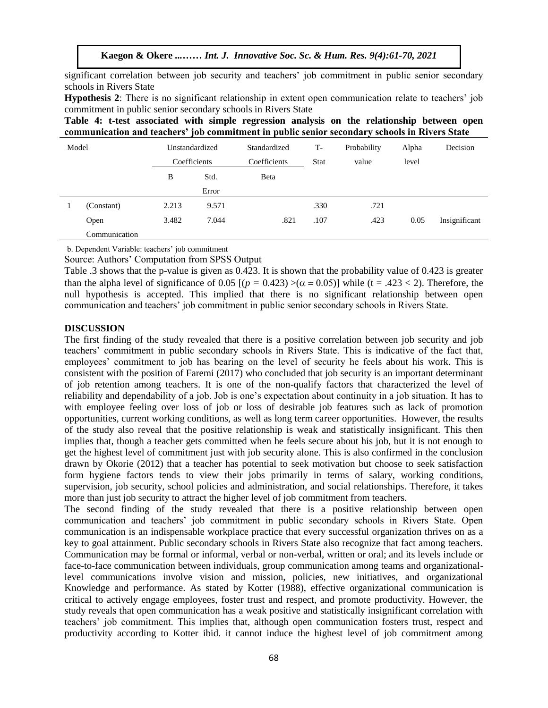significant correlation between job security and teachers' job commitment in public senior secondary schools in Rivers State

**Hypothesis 2**: There is no significant relationship in extent open communication relate to teachers' job commitment in public senior secondary schools in Rivers State

**Table 4: t-test associated with simple regression analysis on the relationship between open communication and teachers' job commitment in public senior secondary schools in Rivers State**

| Model |               | Unstandardized |       | Standardized | $T-$        | Probability | Alpha | Decision      |
|-------|---------------|----------------|-------|--------------|-------------|-------------|-------|---------------|
|       |               | Coefficients   |       | Coefficients | <b>Stat</b> | value       | level |               |
|       |               | B              | Std.  | Beta         |             |             |       |               |
|       |               |                | Error |              |             |             |       |               |
|       | (Constant)    | 2.213          | 9.571 |              | .330        | .721        |       |               |
|       | Open          | 3.482          | 7.044 | .821         | .107        | .423        | 0.05  | Insignificant |
|       | Communication |                |       |              |             |             |       |               |

b. Dependent Variable: teachers' job commitment

Source: Authors' Computation from SPSS Output

Table .3 shows that the p-value is given as 0.423. It is shown that the probability value of 0.423 is greater than the alpha level of significance of 0.05 [ $(p = 0.423) > (\alpha = 0.05)$ ] while (t = .423 < 2). Therefore, the null hypothesis is accepted. This implied that there is no significant relationship between open communication and teachers' job commitment in public senior secondary schools in Rivers State.

### **DISCUSSION**

The first finding of the study revealed that there is a positive correlation between job security and job teachers' commitment in public secondary schools in Rivers State. This is indicative of the fact that, employees' commitment to job has bearing on the level of security he feels about his work. This is consistent with the position of Faremi (2017) who concluded that job security is an important determinant of job retention among teachers. It is one of the non-qualify factors that characterized the level of reliability and dependability of a job. Job is one's expectation about continuity in a job situation. It has to with employee feeling over loss of job or loss of desirable job features such as lack of promotion opportunities, current working conditions, as well as long term career opportunities. However, the results of the study also reveal that the positive relationship is weak and statistically insignificant. This then implies that, though a teacher gets committed when he feels secure about his job, but it is not enough to get the highest level of commitment just with job security alone. This is also confirmed in the conclusion drawn by Okorie (2012) that a teacher has potential to seek motivation but choose to seek satisfaction form hygiene factors tends to view their jobs primarily in terms of salary, working conditions, supervision, job security, school policies and administration, and social relationships. Therefore, it takes more than just job security to attract the higher level of job commitment from teachers.

The second finding of the study revealed that there is a positive relationship between open communication and teachers' job commitment in public secondary schools in Rivers State. Open communication is an indispensable workplace practice that every successful organization thrives on as a key to goal attainment. Public secondary schools in Rivers State also recognize that fact among teachers. Communication may be formal or informal, verbal or non-verbal, written or oral; and its levels include or face-to-face communication between individuals, group communication among teams and organizationallevel communications involve vision and mission, policies, new initiatives, and organizational Knowledge and performance. As stated by Kotter (1988), effective organizational communication is critical to actively engage employees, foster trust and respect, and promote productivity. However, the study reveals that open communication has a weak positive and statistically insignificant correlation with teachers' job commitment. This implies that, although open communication fosters trust, respect and productivity according to Kotter ibid. it cannot induce the highest level of job commitment among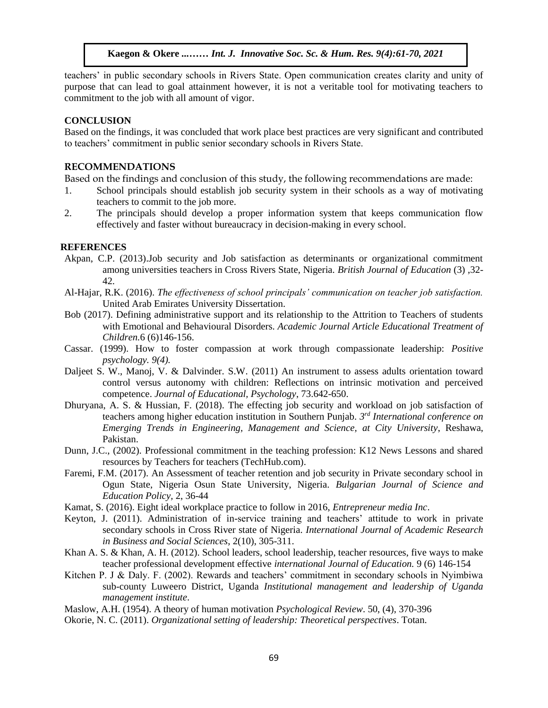teachers' in public secondary schools in Rivers State. Open communication creates clarity and unity of purpose that can lead to goal attainment however, it is not a veritable tool for motivating teachers to commitment to the job with all amount of vigor.

# **CONCLUSION**

Based on the findings, it was concluded that work place best practices are very significant and contributed to teachers' commitment in public senior secondary schools in Rivers State.

# **RECOMMENDATIONS**

Based on the findings and conclusion of this study, the following recommendations are made:

- 1. School principals should establish job security system in their schools as a way of motivating teachers to commit to the job more.
- 2. The principals should develop a proper information system that keeps communication flow effectively and faster without bureaucracy in decision-making in every school.

### **REFERENCES**

- Akpan, C.P. (2013).Job security and Job satisfaction as determinants or organizational commitment among universities teachers in Cross Rivers State, Nigeria. *British Journal of Education* (3) ,32- 42.  $42.$
- Al-Hajar, R.K. (2016). *The effectiveness of school principals' communication on teacher job satisfaction.*  United Arab Emirates University Dissertation.
- Bob (2017). Defining administrative support and its relationship to the Attrition to Teachers of students with Emotional and Behavioural Disorders. *Academic Journal Article Educational Treatment of Children.*6 (6)146-156.
- Cassar. (1999). How to foster compassion at work through compassionate leadership: *Positive psychology. 9(4).*
- Daljeet S. W., Manoj, V. & Dalvinder. S.W. (2011) An instrument to assess adults orientation toward control versus autonomy with children: Reflections on intrinsic motivation and perceived competence. *Journal of Educational, Psychology*, 73.642-650.
- Dhuryana, A. S. & Hussian, F. (2018). The effecting job security and workload on job satisfaction of teachers among higher education institution in Southern Punjab. *3 rd International conference on Emerging Trends in Engineering, Management and Science, at City University*, Reshawa, Pakistan.
- Dunn, J.C., (2002). Professional commitment in the teaching profession: K12 News Lessons and shared resources by Teachers for teachers (TechHub.com).
- Faremi, F.M. (2017). An Assessment of teacher retention and job security in Private secondary school in Ogun State, Nigeria Osun State University, Nigeria. *Bulgarian Journal of Science and Education Policy,* 2, 36-44
- Kamat, S. (2016). Eight ideal workplace practice to follow in 2016, *Entrepreneur media Inc*.
- Keyton, J. (2011). Administration of in-service training and teachers' attitude to work in private secondary schools in Cross River state of Nigeria. *International Journal of Academic Research in Business and Social Sciences*, 2(10), 305-311.
- Khan A. S. & Khan, A. H. (2012). School leaders, school leadership, teacher resources, five ways to make teacher professional development effective *international Journal of Education.* 9 (6) 146-154
- Kitchen P. J & Daly. F. (2002). Rewards and teachers' commitment in secondary schools in Nyimbiwa sub-county Luweero District, Uganda *Institutional management and leadership of Uganda management institute*.
- Maslow, A.H. (1954). A theory of human motivation *Psychological Review*. 50, (4), 370-396
- Okorie, N. C. (2011). *Organizational setting of leadership: Theoretical perspectives*. Totan.